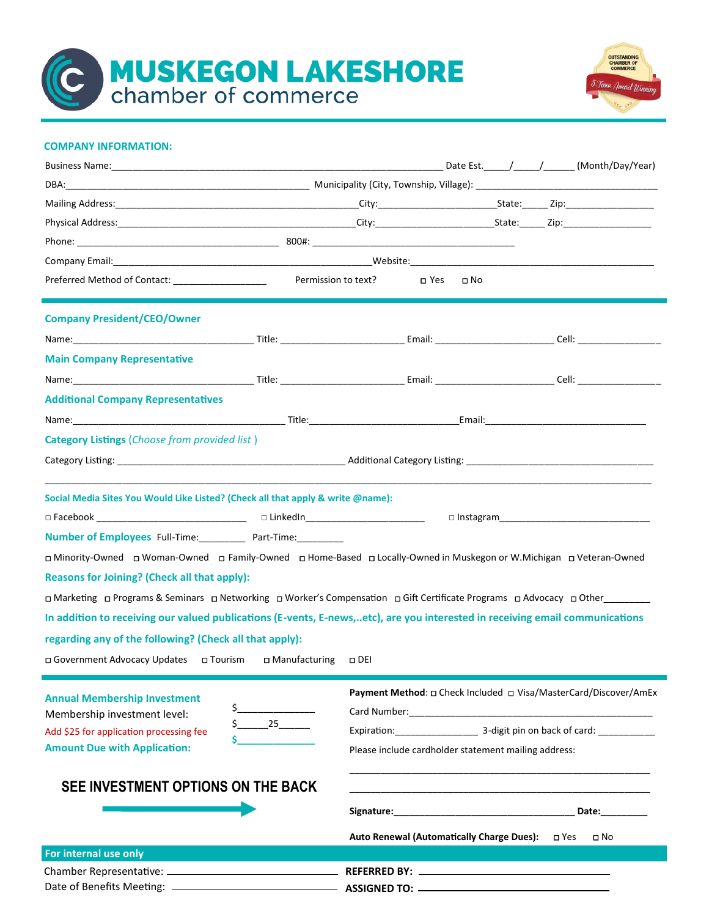**MUSKEGON LAKESHORE**<br>chamber of commerce



#### **COMPANY INFORMATION:**

|                                                                                  | DBA: 1990) Municipality (City, Township, Village): 1991 Municipality (City, Township, Village): 1992                         |
|----------------------------------------------------------------------------------|------------------------------------------------------------------------------------------------------------------------------|
|                                                                                  |                                                                                                                              |
|                                                                                  |                                                                                                                              |
|                                                                                  |                                                                                                                              |
|                                                                                  |                                                                                                                              |
|                                                                                  | D Yes □ No                                                                                                                   |
| <b>Company President/CEO/Owner</b>                                               |                                                                                                                              |
|                                                                                  |                                                                                                                              |
| <b>Main Company Representative</b>                                               |                                                                                                                              |
|                                                                                  |                                                                                                                              |
| <b>Additional Company Representatives</b>                                        |                                                                                                                              |
|                                                                                  |                                                                                                                              |
| <b>Category Listings</b> ( <i>Choose from provided list</i> )                    |                                                                                                                              |
|                                                                                  |                                                                                                                              |
|                                                                                  |                                                                                                                              |
| Social Media Sites You Would Like Listed? (Check all that apply & write @name):  |                                                                                                                              |
| □ Facebook __________________________________  □ LinkedIn_______________________ | $\Box$ Instagram                                                                                                             |
| <b>Number of Employees</b> Full-Time: Part-Time:                                 |                                                                                                                              |
|                                                                                  | D Minority-Owned □ Woman-Owned □ Family-Owned □ Home-Based □ Locally-Owned in Muskegon or W.Michigan □ Veteran-Owned         |
| <b>Reasons for Joining? (Check all that apply):</b>                              |                                                                                                                              |
|                                                                                  | □ Marketing □ Programs & Seminars □ Networking □ Worker's Compensation □ Gift Certificate Programs □ Advocacy □ Other        |
|                                                                                  | In addition to receiving our valued publications (E-vents, E-news,etc), are you interested in receiving email communications |
| regarding any of the following? (Check all that apply):                          |                                                                                                                              |
| □ Government Advocacy Updates □ Tourism<br>□ Manufacturing □ DEI                 |                                                                                                                              |
|                                                                                  |                                                                                                                              |
| <b>Annual Membership Investment</b><br>\$_                                       | Payment Method: 0 Check Included 0 Visa/MasterCard/Discover/AmEx                                                             |
| Membership investment level:<br>25                                               | Expiration: 3-digit pin on back of card:                                                                                     |
| Add \$25 for application processing fee<br><b>Amount Due with Application:</b>   | Please include cardholder statement mailing address:                                                                         |
|                                                                                  |                                                                                                                              |
| SEE INVESTMENT OPTIONS ON THE BACK                                               |                                                                                                                              |
|                                                                                  |                                                                                                                              |
|                                                                                  | Auto Renewal (Automatically Charge Dues):  □ Yes<br>□ No                                                                     |
| For internal use only                                                            |                                                                                                                              |
|                                                                                  |                                                                                                                              |
|                                                                                  |                                                                                                                              |